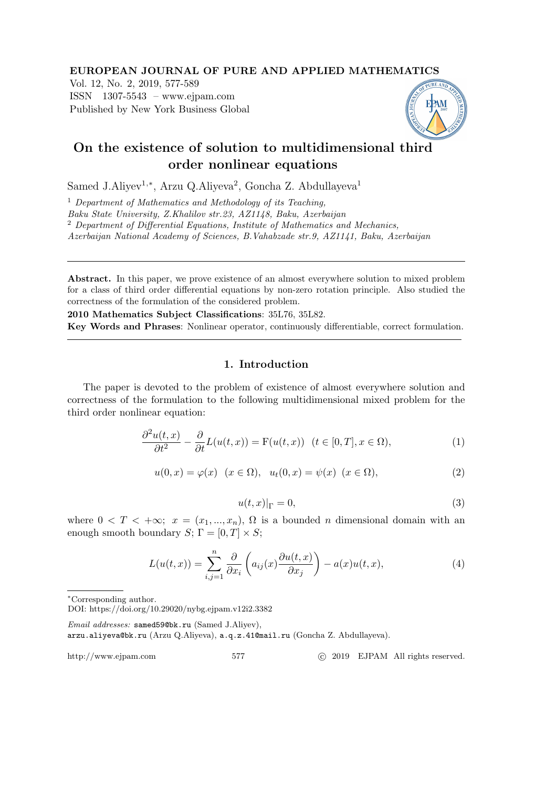#### EUROPEAN JOURNAL OF PURE AND APPLIED MATHEMATICS

Vol. 12, No. 2, 2019, 577-589 ISSN 1307-5543 – www.ejpam.com Published by New York Business Global



# On the existence of solution to multidimensional third order nonlinear equations

Samed J.Aliyev<sup>1,\*</sup>, Arzu Q.Aliyeva<sup>2</sup>, Goncha Z. Abdullayeva<sup>1</sup>

 $<sup>1</sup>$  Department of Mathematics and Methodology of its Teaching.</sup>

Baku State University, Z.Khalilov str.23, AZ1148, Baku, Azerbaijan

<sup>2</sup> Department of Differential Equations, Institute of Mathematics and Mechanics,

Azerbaijan National Academy of Sciences, B.Vahabzade str.9, AZ1141, Baku, Azerbaijan

Abstract. In this paper, we prove existence of an almost everywhere solution to mixed problem for a class of third order differential equations by non-zero rotation principle. Also studied the correctness of the formulation of the considered problem.

2010 Mathematics Subject Classifications: 35L76, 35L82. Key Words and Phrases: Nonlinear operator, continuously differentiable, correct formulation.

# 1. Introduction

The paper is devoted to the problem of existence of almost everywhere solution and correctness of the formulation to the following multidimensional mixed problem for the third order nonlinear equation:

$$
\frac{\partial^2 u(t,x)}{\partial t^2} - \frac{\partial}{\partial t} L(u(t,x)) = F(u(t,x)) \quad (t \in [0,T], x \in \Omega),
$$
\n(1)

$$
u(0, x) = \varphi(x) \quad (x \in \Omega), \quad u_t(0, x) = \psi(x) \quad (x \in \Omega),
$$
 (2)

$$
u(t,x)|_{\Gamma} = 0,\t\t(3)
$$

where  $0 < T < +\infty$ ;  $x = (x_1, ..., x_n)$ ,  $\Omega$  is a bounded *n* dimensional domain with an enough smooth boundary  $S: \Gamma = [0, T] \times S;$ 

$$
L(u(t,x)) = \sum_{i,j=1}^{n} \frac{\partial}{\partial x_i} \left( a_{ij}(x) \frac{\partial u(t,x)}{\partial x_j} \right) - a(x)u(t,x), \tag{4}
$$

Email addresses: samed59@bk.ru (Samed J.Aliyev), arzu.aliyeva@bk.ru (Arzu Q.Aliyeva), a.q.z.41@mail.ru (Goncha Z. Abdullayeva).

http://www.ejpam.com 577 c 2019 EJPAM All rights reserved.

<sup>∗</sup>Corresponding author.

DOI: https://doi.org/10.29020/nybg.ejpam.v12i2.3382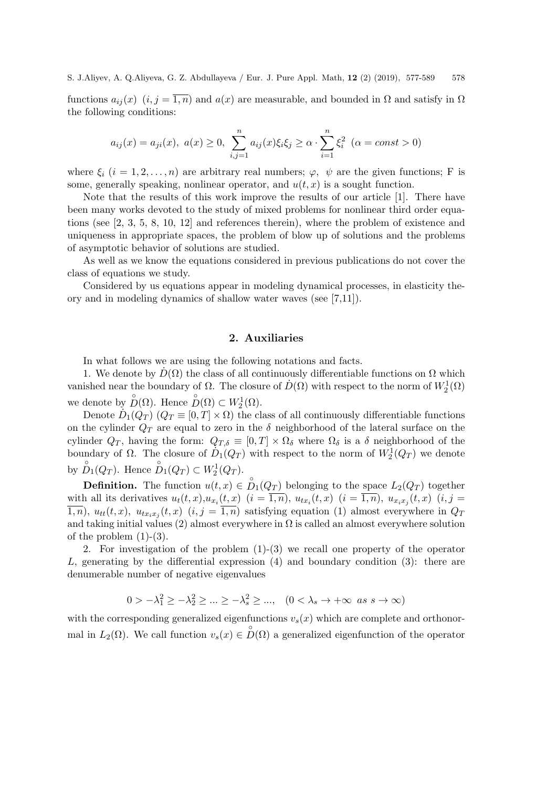functions  $a_{ij}(x)$   $(i, j = \overline{1, n})$  and  $a(x)$  are measurable, and bounded in  $\Omega$  and satisfy in  $\Omega$ the following conditions:

$$
a_{ij}(x) = a_{ji}(x), \ a(x) \ge 0, \ \sum_{i,j=1}^n a_{ij}(x)\xi_i\xi_j \ge \alpha \cdot \sum_{i=1}^n \xi_i^2 \ (\alpha = const > 0)
$$

where  $\xi_i$   $(i = 1, 2, ..., n)$  are arbitrary real numbers;  $\varphi$ ,  $\psi$  are the given functions; F is some, generally speaking, nonlinear operator, and  $u(t, x)$  is a sought function.

Note that the results of this work improve the results of our article [1]. There have been many works devoted to the study of mixed problems for nonlinear third order equations (see [2, 3, 5, 8, 10, 12] and references therein), where the problem of existence and uniqueness in appropriate spaces, the problem of blow up of solutions and the problems of asymptotic behavior of solutions are studied.

As well as we know the equations considered in previous publications do not cover the class of equations we study.

Considered by us equations appear in modeling dynamical processes, in elasticity theory and in modeling dynamics of shallow water waves (see [7,11]).

# 2. Auxiliaries

In what follows we are using the following notations and facts.

1. We denote by  $\dot{D}(\Omega)$  the class of all continuously differentiable functions on  $\Omega$  which vanished near the boundary of  $\Omega$ . The closure of  $\dot{D}(\Omega)$  with respect to the norm of  $W_2^1(\Omega)$ we denote by  $\mathring{D}(\Omega)$ . Hence  $\mathring{D}(\Omega) \subset W_2^1(\Omega)$ .

Denote  $\dot{D}_1(Q_T)$   $(Q_T \equiv [0, T] \times \Omega)$  the class of all continuously differentiable functions on the cylinder  $Q_T$  are equal to zero in the  $\delta$  neighborhood of the lateral surface on the cylinder  $Q_T$ , having the form:  $Q_{T,\delta} \equiv [0,T] \times \Omega_{\delta}$  where  $\Omega_{\delta}$  is a  $\delta$  neighborhood of the boundary of  $\Omega$ . The closure of  $\dot{D}_1(Q_T)$  with respect to the norm of  $W_2^1(Q_T)$  we denote by  $\stackrel{\circ}{D}_1(Q_T)$ . Hence  $\stackrel{\circ}{D}_1(Q_T) \subset W_2^1(Q_T)$ .

**Definition.** The function  $u(t, x) \in \overset{\circ}{D}_1(Q_T)$  belonging to the space  $L_2(Q_T)$  together with all its derivatives  $u_t(t,x), u_{x_i}(t,x)$   $(i = \overline{1,n}), u_{tx_i}(t,x)$   $(i = \overline{1,n}), u_{x_ix_j}(t,x)$   $(i, j =$  $\overline{1,n}$ ,  $u_{tt}(t,x)$ ,  $u_{tx_ix_j}(t,x)$   $(i,j=\overline{1,n})$  satisfying equation (1) almost everywhere in  $Q_T$ and taking initial values (2) almost everywhere in  $\Omega$  is called an almost everywhere solution of the problem  $(1)-(3)$ .

2. For investigation of the problem  $(1)-(3)$  we recall one property of the operator L, generating by the differential expression  $(4)$  and boundary condition  $(3)$ : there are denumerable number of negative eigenvalues

$$
0 > -\lambda_1^2 \ge -\lambda_2^2 \ge \dots \ge -\lambda_s^2 \ge \dots, \quad (0 < \lambda_s \to +\infty \text{ as } s \to \infty)
$$

with the corresponding generalized eigenfunctions  $v_s(x)$  which are complete and orthonormal in  $L_2(\Omega)$ . We call function  $v_s(x) \in \mathring{D}(\Omega)$  a generalized eigenfunction of the operator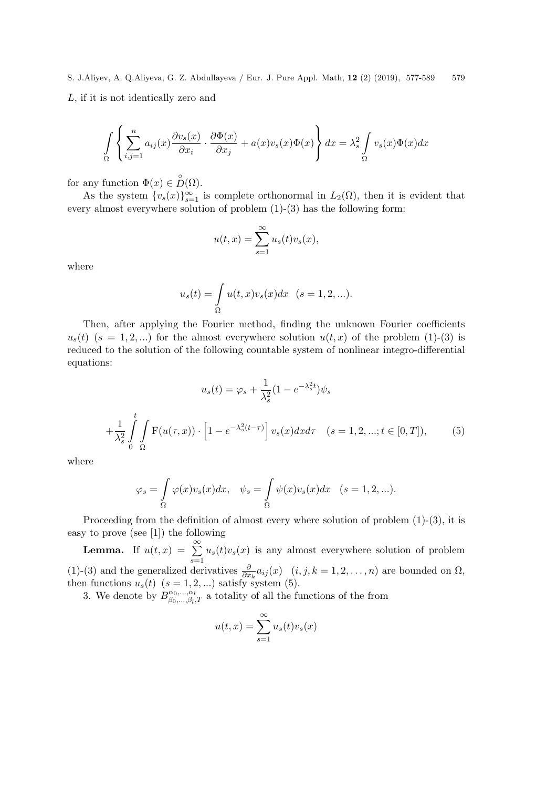S. J.Aliyev, A. Q.Aliyeva, G. Z. Abdullayeva / Eur. J. Pure Appl. Math, 12 (2) (2019), 577-589 579 L, if it is not identically zero and

$$
\int_{\Omega} \left\{ \sum_{i,j=1}^{n} a_{ij}(x) \frac{\partial v_s(x)}{\partial x_i} \cdot \frac{\partial \Phi(x)}{\partial x_j} + a(x) v_s(x) \Phi(x) \right\} dx = \lambda_s^2 \int_{\Omega} v_s(x) \Phi(x) dx
$$

for any function  $\Phi(x) \in \overset{\circ}{D}(\Omega)$ .

As the system  $\{v_s(x)\}_{s=1}^{\infty}$  is complete orthonormal in  $L_2(\Omega)$ , then it is evident that every almost everywhere solution of problem (1)-(3) has the following form:

$$
u(t,x) = \sum_{s=1}^{\infty} u_s(t)v_s(x),
$$

where

$$
u_s(t) = \int_{\Omega} u(t, x)v_s(x)dx \quad (s = 1, 2, \ldots).
$$

Then, after applying the Fourier method, finding the unknown Fourier coefficients  $u_s(t)$  ( $s = 1, 2, ...$ ) for the almost everywhere solution  $u(t, x)$  of the problem (1)-(3) is reduced to the solution of the following countable system of nonlinear integro-differential equations:

$$
u_s(t) = \varphi_s + \frac{1}{\lambda_s^2} (1 - e^{-\lambda_s^2 t}) \psi_s
$$
  
+ 
$$
\frac{1}{\lambda_s^2} \int_0^t \int_{\Omega} F(u(\tau, x)) \cdot \left[1 - e^{-\lambda_s^2 (t - \tau)}\right] v_s(x) dx d\tau \quad (s = 1, 2, \dots; t \in [0, T]), \tag{5}
$$

where

$$
\varphi_s = \int_{\Omega} \varphi(x)v_s(x)dx, \quad \psi_s = \int_{\Omega} \psi(x)v_s(x)dx \quad (s = 1, 2, \ldots).
$$

Proceeding from the definition of almost every where solution of problem  $(1)-(3)$ , it is easy to prove (see [1]) the following

**Lemma.** If  $u(t,x) = \sum_{n=0}^{\infty}$  $s=1$  $u_s(t)v_s(x)$  is any almost everywhere solution of problem (1)-(3) and the generalized derivatives  $\frac{\partial}{\partial x_k} a_{ij}(x)$   $(i, j, k = 1, 2, ..., n)$  are bounded on  $\Omega$ , then functions  $u_s(t)$   $(s = 1, 2, ...)$  satisfy system (5).

3. We denote by  $B_{\beta_0}^{\alpha_0,\dots,\alpha_l}$  $\alpha_0, \ldots, \alpha_l$  at totality of all the functions of the from

$$
u(t,x) = \sum_{s=1}^{\infty} u_s(t)v_s(x)
$$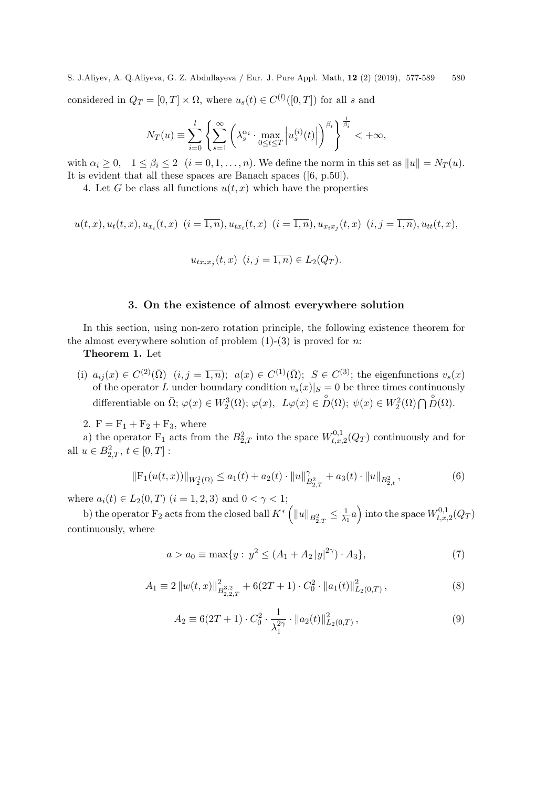S. J.Aliyev, A. Q.Aliyeva, G. Z. Abdullayeva / Eur. J. Pure Appl. Math, 12 (2) (2019), 577-589 580 considered in  $Q_T = [0, T] \times \Omega$ , where  $u_s(t) \in C^{(l)}([0, T])$  for all s and

$$
N_T(u) \equiv \sum_{i=0}^l \left\{ \sum_{s=1}^\infty \left( \lambda_s^{\alpha_i} \cdot \max_{0 \le t \le T} \left| u_s^{(i)}(t) \right| \right)^{\beta_i} \right\}^{\frac{1}{\beta_i}} < +\infty,
$$

with  $\alpha_i \geq 0$ ,  $1 \leq \beta_i \leq 2$   $(i = 0, 1, \ldots, n)$ . We define the norm in this set as  $||u|| = N_T(u)$ . It is evident that all these spaces are Banach spaces ([6, p.50]).

4. Let G be class all functions  $u(t, x)$  which have the properties

$$
u(t,x), u_t(t,x), u_{x_i}(t,x) \ (i=\overline{1,n}), u_{t x_i}(t,x) \ (i=\overline{1,n}), u_{x_i x_j}(t,x) \ (i,j=\overline{1,n}), u_{t t}(t,x),
$$

$$
u_{tx_ix_j}(t,x) \ (i,j=\overline{1,n}) \in L_2(Q_T).
$$

# 3. On the existence of almost everywhere solution

In this section, using non-zero rotation principle, the following existence theorem for the almost everywhere solution of problem  $(1)-(3)$  is proved for n:

Theorem 1. Let

(i)  $a_{ij}(x) \in C^{(2)}(\overline{\Omega})$   $(i, j = \overline{1,n})$ ;  $a(x) \in C^{(1)}(\overline{\Omega})$ ;  $S \in C^{(3)}$ ; the eigenfunctions  $v_s(x)$ of the operator L under boundary condition  $v_s(x)|_S = 0$  be three times continuously differentiable on  $\overline{\Omega}$ ;  $\varphi(x) \in W_2^3(\Omega)$ ;  $\varphi(x)$ ,  $L\varphi(x) \in D(\Omega)$ ;  $\psi(x) \in W_2^2(\Omega) \cap D(\Omega)$ .

2.  $F = F_1 + F_2 + F_3$ , where

a) the operator  $F_1$  acts from the  $B_{2,T}^2$  into the space  $W_{t,x}^{0,1}$  $t_{t,x,2}^{0,1}(Q_T)$  continuously and for all  $u \in B_{2,T}^2$ ,  $t \in [0,T]$ :

$$
\|\mathbf{F}_1(u(t,x))\|_{W_2^1(\Omega)} \le a_1(t) + a_2(t) \cdot \|u\|_{B_{2,T}^2}^{\gamma} + a_3(t) \cdot \|u\|_{B_{2,t}^2},\tag{6}
$$

where  $a_i(t) \in L_2(0,T)$   $(i = 1, 2, 3)$  and  $0 < \gamma < 1$ ;

b) the operator F<sub>2</sub> acts from the closed ball  $K^*$   $\left( \Vert u\Vert_{B^2_{2,T}} \leq \frac{1}{\lambda_1} \right)$  $\left(\frac{1}{\lambda_1}a\right)$  into the space  $W_{t,x, y}^{0,1}$  $\zeta_{t,x,2}^{\mathrm{U},1}(Q_T)$ continuously, where

$$
a > a_0 \equiv \max\{y : y^2 \le (A_1 + A_2 |y|^{2\gamma}) \cdot A_3\},\tag{7}
$$

$$
A_1 \equiv 2 \|w(t,x)\|_{B_{2,2,T}^{3,2}}^2 + 6(2T+1) \cdot C_0^2 \cdot \|a_1(t)\|_{L_2(0,T)}^2, \qquad (8)
$$

$$
A_2 \equiv 6(2T + 1) \cdot C_0^2 \cdot \frac{1}{\lambda_1^{2\gamma}} \cdot \|a_2(t)\|_{L_2(0,T)}^2, \qquad (9)
$$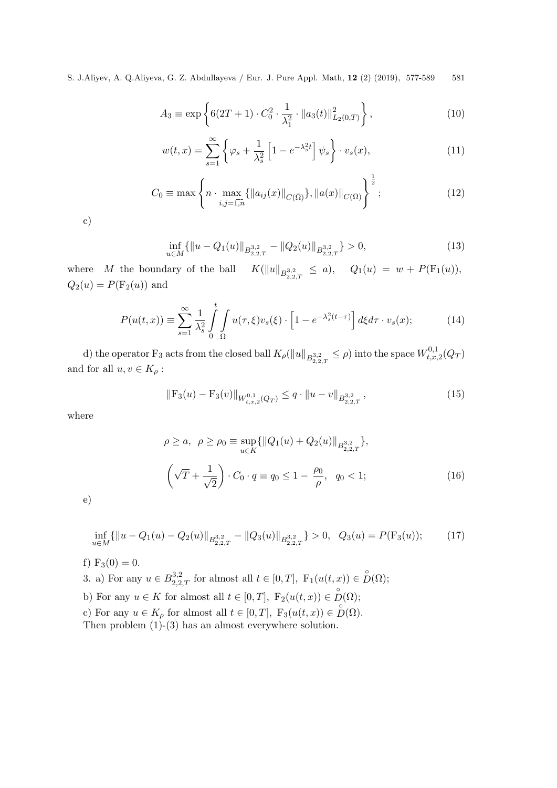$$
A_3 \equiv \exp\left\{6(2T+1) \cdot C_0^2 \cdot \frac{1}{\lambda_1^2} \cdot \|a_3(t)\|_{L_2(0,T)}^2\right\},\tag{10}
$$

$$
w(t,x) = \sum_{s=1}^{\infty} \left\{ \varphi_s + \frac{1}{\lambda_s^2} \left[ 1 - e^{-\lambda_s^2 t} \right] \psi_s \right\} \cdot v_s(x), \tag{11}
$$

$$
C_0 \equiv \max \left\{ n \cdot \max_{i,j=\bar{1,n}} \{ \|a_{ij}(x)\|_{C(\bar{\Omega})} \}, \|a(x)\|_{C(\bar{\Omega})} \right\}^{\frac{1}{2}}; \tag{12}
$$

c)

$$
\inf_{u \in M} \{ \|u - Q_1(u)\|_{B^{3,2}_{2,2,T}} - \|Q_2(u)\|_{B^{3,2}_{2,2,T}} \} > 0,
$$
\n(13)

where  $\ M$  the boundary of the ball  $\frac{a_{3,2}}{2,2,T} \leq a$ ,  $Q_1(u) = w + P(F_1(u)),$  $Q_2(u) = P(\mathrm{F}_2(u))$  and

$$
P(u(t,x)) \equiv \sum_{s=1}^{\infty} \frac{1}{\lambda_s^2} \int_0^t \int_{\Omega} u(\tau,\xi) v_s(\xi) \cdot \left[1 - e^{-\lambda_s^2(t-\tau)}\right] d\xi d\tau \cdot v_s(x); \tag{14}
$$

d) the operator  $F_3$  acts from the closed ball  $K_\rho(\|u\|_{B^{3,2}_{2,2,T}} \leq \rho)$  into the space  $W_{t,x,x}^{0,1}$  $\zeta_{t,x,2}^{\mathrm{U},1}(Q_T)$ and for all  $u, v \in K_{\rho}$  :

$$
\|\mathcal{F}_3(u) - \mathcal{F}_3(v)\|_{W_{t,x,2}^{0,1}(Q_T)} \le q \cdot \|u - v\|_{B_{2,2,T}^{3,2}},\tag{15}
$$

where

$$
\rho \ge a, \ \rho \ge \rho_0 \equiv \sup_{u \in K} \{ ||Q_1(u) + Q_2(u)||_{B_{2,2,T}^{3,2}} \},
$$

$$
\left(\sqrt{T} + \frac{1}{\sqrt{2}}\right) \cdot C_0 \cdot q \equiv q_0 \le 1 - \frac{\rho_0}{\rho}, \ q_0 < 1;
$$
 (16)

e)

$$
\inf_{u \in M} \{ \|u - Q_1(u) - Q_2(u)\|_{B^{3,2}_{2,2,T}} - \|Q_3(u)\|_{B^{3,2}_{2,2,T}} \} > 0, \quad Q_3(u) = P(\mathcal{F}_3(u)); \tag{17}
$$

f) 
$$
F_3(0) = 0.
$$

- 3. a) For any  $u \in B_{2,2,T}^{3,2}$  for almost all  $t \in [0,T]$ ,  $F_1(u(t,x)) \in \overset{\circ}{D}(\Omega)$ ;
- b) For any  $u \in K$  for almost all  $t \in [0, T]$ ,  $F_2(u(t, x)) \in \overset{\circ}{D}(\Omega)$ ;
- c) For any  $u \in K_\rho$  for almost all  $t \in [0, T]$ ,  $F_3(u(t, x)) \in D(\Omega)$ .

Then problem (1)-(3) has an almost everywhere solution.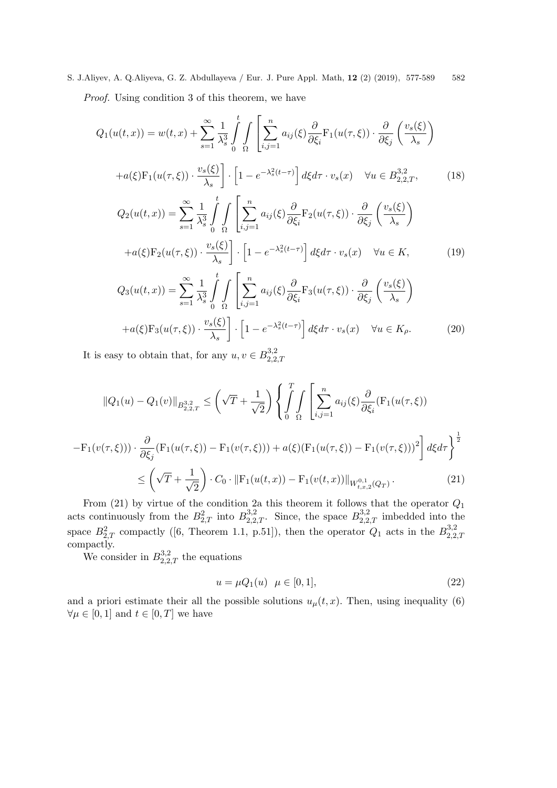S. J.Aliyev, A. Q.Aliyeva, G. Z. Abdullayeva / Eur. J. Pure Appl. Math, 12 (2) (2019), 577-589 582 Proof. Using condition 3 of this theorem, we have

$$
Q_{1}(u(t,x)) = w(t,x) + \sum_{s=1}^{\infty} \frac{1}{\lambda_{s}^{3}} \int_{0}^{t} \int_{\Omega} \left[ \sum_{i,j=1}^{n} a_{ij}(\xi) \frac{\partial}{\partial \xi_{i}} F_{1}(u(\tau,\xi)) \cdot \frac{\partial}{\partial \xi_{j}} \left( \frac{v_{s}(\xi)}{\lambda_{s}} \right) \right]
$$
  
+
$$
a(\xi) F_{1}(u(\tau,\xi)) \cdot \frac{v_{s}(\xi)}{\lambda_{s}} \right] \cdot \left[ 1 - e^{-\lambda_{s}^{2}(t-\tau)} \right] d\xi d\tau \cdot v_{s}(x) \quad \forall u \in B_{2,2,T}^{3,2}, \qquad (18)
$$
  

$$
Q_{2}(u(t,x)) = \sum_{s=1}^{\infty} \frac{1}{\lambda_{s}^{3}} \int_{0}^{t} \int_{\Omega} \left[ \sum_{i,j=1}^{n} a_{ij}(\xi) \frac{\partial}{\partial \xi_{i}} F_{2}(u(\tau,\xi)) \cdot \frac{\partial}{\partial \xi_{j}} \left( \frac{v_{s}(\xi)}{\lambda_{s}} \right) \right]
$$
  
+
$$
a(\xi) F_{2}(u(\tau,\xi)) \cdot \frac{v_{s}(\xi)}{\lambda_{s}} \right] \cdot \left[ 1 - e^{-\lambda_{s}^{2}(t-\tau)} \right] d\xi d\tau \cdot v_{s}(x) \quad \forall u \in K, \qquad (19)
$$
  

$$
Q_{3}(u(t,x)) = \sum_{s=1}^{\infty} \frac{1}{\lambda_{s}^{3}} \int_{0}^{t} \int_{\Omega} \left[ \sum_{i,j=1}^{n} a_{ij}(\xi) \frac{\partial}{\partial \xi_{i}} F_{3}(u(\tau,\xi)) \cdot \frac{\partial}{\partial \xi_{j}} \left( \frac{v_{s}(\xi)}{\lambda_{s}} \right) \right]
$$
  
+
$$
a(\xi) F_{3}(u(\tau,\xi)) \cdot \frac{v_{s}(\xi)}{\lambda_{s}} \right] \cdot \left[ 1 - e^{-\lambda_{s}^{2}(t-\tau)} \right] d\xi d\tau \cdot v_{s}(x) \quad \forall u \in K_{\rho}.
$$
  
(20)

It is easy to obtain that, for any  $u, v \in B^{3,2}_{2,2}$ 2,2,T

 $\lambda_s$ 

$$
||Q_{1}(u) - Q_{1}(v)||_{B_{2,2,T}^{3,2}} \leq \left(\sqrt{T} + \frac{1}{\sqrt{2}}\right) \left\{\int_{0}^{T} \int_{\Omega} \left[\sum_{i,j=1}^{n} a_{ij}(\xi) \frac{\partial}{\partial \xi_{i}} (\mathbf{F}_{1}(u(\tau,\xi)))\right] d\xi d\tau\right\}^{2}
$$

$$
- \mathbf{F}_{1}(v(\tau,\xi))) \cdot \frac{\partial}{\partial \xi_{j}} (\mathbf{F}_{1}(u(\tau,\xi)) - \mathbf{F}_{1}(v(\tau,\xi))) + a(\xi) (\mathbf{F}_{1}(u(\tau,\xi)) - \mathbf{F}_{1}(v(\tau,\xi)))^{2}\right] d\xi d\tau \left\}^{\frac{1}{2}}
$$

$$
\leq \left(\sqrt{T} + \frac{1}{\sqrt{2}}\right) \cdot C_{0} \cdot ||\mathbf{F}_{1}(u(t,x)) - \mathbf{F}_{1}(v(t,x))||_{W_{t,x,2}^{0,1}(Q_{T})}. \tag{21}
$$

From (21) by virtue of the condition 2a this theorem it follows that the operator  $Q_1$ acts continuously from the  $B_{2,T}^2$  into  $B_{2,2,T}^{3,2}$ . Since, the space  $B_{2,2,T}^{3,2}$  imbedded into the space  $B_{2,T}^2$  compactly ([6, Theorem 1.1, p.51]), then the operator  $Q_1$  acts in the  $B_{2,2}^{3,2}$ space  $D_{2,T}$  compactly (6, Theorem 1.1, p. 01]), then the operator  $Q_1$  acts in the  $D_{2,2,T}$ <br>compactly.

We consider in  $B_{2,2,T}^{3,2}$  the equations

$$
u = \mu Q_1(u) \quad \mu \in [0, 1], \tag{22}
$$

and a priori estimate their all the possible solutions  $u_{\mu}(t, x)$ . Then, using inequality (6)  $\forall \mu \in [0,1]$  and  $t \in [0,T]$  we have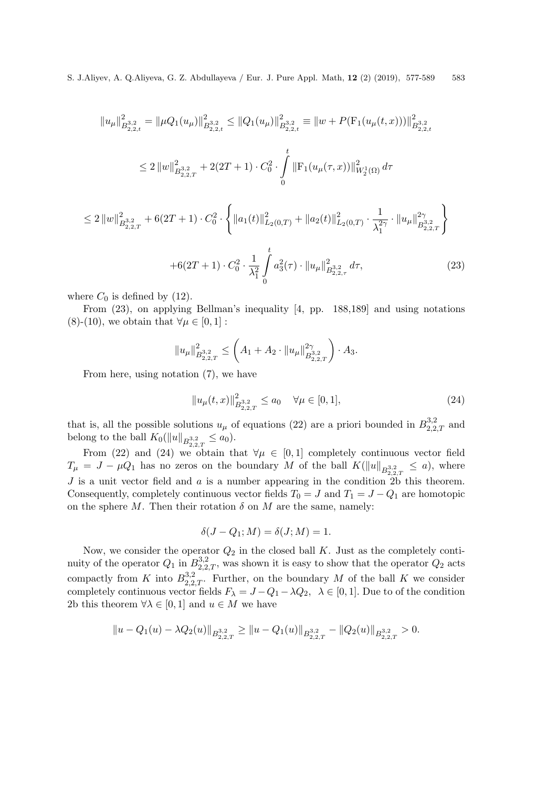$$
||u_{\mu}||_{B_{2,2,t}^{3,2}}^2 = ||\mu Q_1(u_{\mu})||_{B_{2,2,t}^{3,2}}^2 \le ||Q_1(u_{\mu})||_{B_{2,2,t}^{3,2}}^2 \equiv ||w + P(\mathcal{F}_1(u_{\mu}(t,x)))||_{B_{2,2,t}^{3,2}}^2
$$
  

$$
\le 2 ||w||_{B_{2,2,T}^{3,2}}^2 + 2(2T + 1) \cdot C_0^2 \cdot \int_0^t ||\mathcal{F}_1(u_{\mu}(\tau,x))||_{W_2^1(\Omega)}^2 d\tau
$$

$$
\leq 2 \|w\|_{B_{2,2,T}^{3,2}}^2 + 6(2T+1) \cdot C_0^2 \cdot \left\{ \|a_1(t)\|_{L_2(0,T)}^2 + \|a_2(t)\|_{L_2(0,T)}^2 \cdot \frac{1}{\lambda_1^{2\gamma}} \cdot \|u_\mu\|_{B_{2,2,T}^{3,2}}^{2\gamma} \right\}
$$

$$
+ 6(2T+1) \cdot C_0^2 \cdot \frac{1}{\lambda_1^2} \int_0^t a_3^2(\tau) \cdot \|u_\mu\|_{B_{2,2,\tau}^{3,2}}^2 d\tau,
$$
(23)

where  $C_0$  is defined by (12).

From (23), on applying Bellman's inequality [4, pp. 188,189] and using notations (8)-(10), we obtain that  $\forall \mu \in [0,1]$ :

$$
||u_{\mu}||_{B_{2,2,T}^{3,2}}^2 \leq \left(A_1 + A_2 \cdot ||u_{\mu}||_{B_{2,2,T}^{3,2}}^{2\gamma} \right) \cdot A_3.
$$

From here, using notation (7), we have

$$
||u_{\mu}(t,x)||_{B_{2,2,T}^{3,2}}^2 \le a_0 \quad \forall \mu \in [0,1],
$$
\n(24)

that is, all the possible solutions  $u_{\mu}$  of equations (22) are a priori bounded in  $B_{2,2,T}^{3,2}$  and belong to the ball  $K_0(||u||_{B^{3,2}_{2,2,T}} \le a_0)$ .

From (22) and (24) we obtain that  $\forall \mu \in [0,1]$  completely continuous vector field  $T_{\mu} = J - \mu Q_1$  has no zeros on the boundary M of the ball  $K(\|u\|_{B^{3,2}_{2,2,T}} \leq a)$ , where J is a unit vector field and  $\alpha$  is a number appearing in the condition  $\overline{2b}$  this theorem. Consequently, completely continuous vector fields  $T_0 = J$  and  $T_1 = J - Q_1$  are homotopic on the sphere M. Then their rotation  $\delta$  on M are the same, namely:

$$
\delta(J - Q_1; M) = \delta(J; M) = 1.
$$

Now, we consider the operator  $Q_2$  in the closed ball  $K$ . Just as the completely continuity of the operator  $Q_1$  in  $B_{2,2,T}^{3,2}$ , was shown it is easy to show that the operator  $Q_2$  acts compactly from K into  $B_{2,2,T}^{3,2}$ . Further, on the boundary M of the ball K we consider completely continuous vector fields  $F_{\lambda} = J - Q_1 - \lambda Q_2$ ,  $\lambda \in [0, 1]$ . Due to of the condition 2b this theorem  $\forall \lambda \in [0,1]$  and  $u \in M$  we have

$$
||u - Q_1(u) - \lambda Q_2(u)||_{B^{3,2}_{2,2,T}} \ge ||u - Q_1(u)||_{B^{3,2}_{2,2,T}} - ||Q_2(u)||_{B^{3,2}_{2,2,T}} > 0.
$$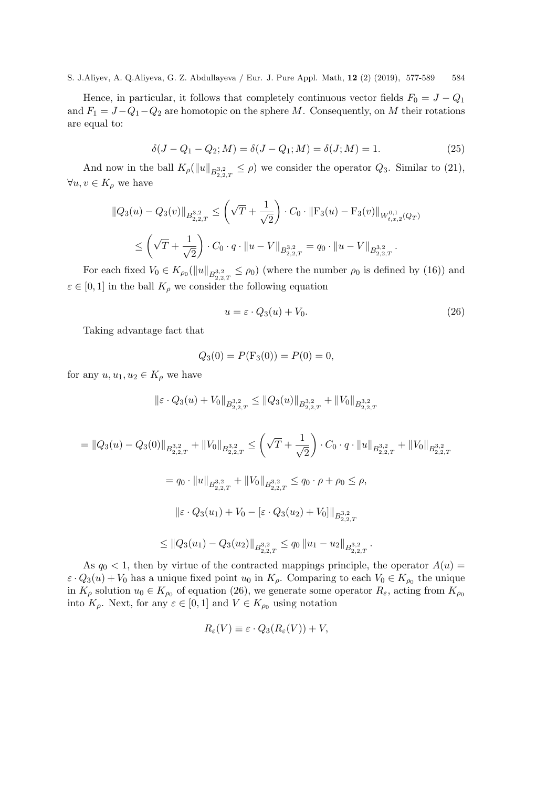Hence, in particular, it follows that completely continuous vector fields  $F_0 = J - Q_1$ and  $F_1 = J - Q_1 - Q_2$  are homotopic on the sphere M. Consequently, on M their rotations are equal to:

$$
\delta(J - Q_1 - Q_2; M) = \delta(J - Q_1; M) = \delta(J; M) = 1.
$$
\n(25)

And now in the ball  $K_{\rho}(\|u\|_{B^{3,2}_{2,2,T}} \leq \rho)$  we consider the operator  $Q_3$ . Similar to (21),  $\forall u, v \in K_\rho$  we have

$$
\|Q_3(u) - Q_3(v)\|_{B_{2,2,T}^{3,2}} \le \left(\sqrt{T} + \frac{1}{\sqrt{2}}\right) \cdot C_0 \cdot \|F_3(u) - F_3(v)\|_{W_{t,x,2}^{0,1}(Q_T)} \le \left(\sqrt{T} + \frac{1}{\sqrt{2}}\right) \cdot C_0 \cdot q \cdot \|u - V\|_{B_{2,2,T}^{3,2}} = q_0 \cdot \|u - V\|_{B_{2,2,T}^{3,2}}.
$$

For each fixed  $V_0 \in K_{\rho_0}(\|u\|_{B^{3,2}_{2,2,T}} \leq \rho_0)$  (where the number  $\rho_0$  is defined by (16)) and  $\varepsilon \in [0,1]$  in the ball  $K_\rho$  we consider the following equation

$$
u = \varepsilon \cdot Q_3(u) + V_0. \tag{26}
$$

Taking advantage fact that

$$
Q_3(0) = P(\mathbf{F}_3(0)) = P(0) = 0,
$$

for any  $u, u_1, u_2 \in K_\rho$  we have

$$
\|\varepsilon \cdot Q_3(u) + V_0\|_{B^{3,2}_{2,2,T}} \le \|Q_3(u)\|_{B^{3,2}_{2,2,T}} + \|V_0\|_{B^{3,2}_{2,2,T}}
$$

$$
= ||Q_3(u) - Q_3(0)||_{B_{2,2,T}^{3,2}} + ||V_0||_{B_{2,2,T}^{3,2}} \le \left(\sqrt{T} + \frac{1}{\sqrt{2}}\right) \cdot C_0 \cdot q \cdot ||u||_{B_{2,2,T}^{3,2}} + ||V_0||_{B_{2,2,T}^{3,2}}
$$
  
\n
$$
= q_0 \cdot ||u||_{B_{2,2,T}^{3,2}} + ||V_0||_{B_{2,2,T}^{3,2}} \le q_0 \cdot \rho + \rho_0 \le \rho,
$$
  
\n
$$
||\varepsilon \cdot Q_3(u_1) + V_0 - [\varepsilon \cdot Q_3(u_2) + V_0]||_{B_{2,2,T}^{3,2}}
$$
  
\n
$$
\le ||Q_3(u_1) - Q_3(u_2)||_{B_{2,2,T}^{3,2}} \le q_0 ||u_1 - u_2||_{B_{2,2,T}^{3,2}}.
$$

As  $q_0 < 1$ , then by virtue of the contracted mappings principle, the operator  $A(u)$  $\varepsilon \cdot Q_3(u) + V_0$  has a unique fixed point  $u_0$  in  $K_\rho$ . Comparing to each  $V_0 \in K_{\rho_0}$  the unique in  $K_{\rho}$  solution  $u_0 \in K_{\rho_0}$  of equation (26), we generate some operator  $R_{\varepsilon}$ , acting from  $K_{\rho_0}$ into  $K_{\rho}$ . Next, for any  $\varepsilon \in [0,1]$  and  $V \in K_{\rho_0}$  using notation

$$
R_{\varepsilon}(V) \equiv \varepsilon \cdot Q_3(R_{\varepsilon}(V)) + V,
$$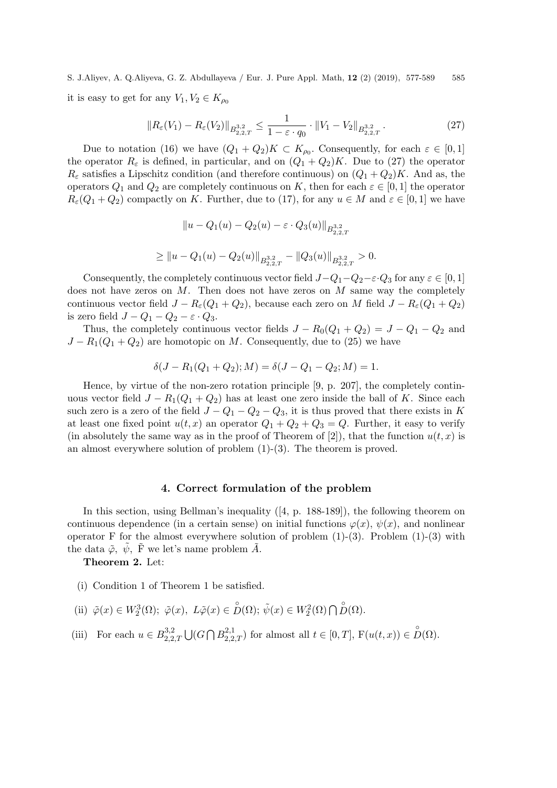S. J.Aliyev, A. Q.Aliyeva, G. Z. Abdullayeva / Eur. J. Pure Appl. Math, 12 (2) (2019), 577-589 585 it is easy to get for any  $V_1, V_2 \in K_{\rho_0}$ 

$$
||R_{\varepsilon}(V_1) - R_{\varepsilon}(V_2)||_{B_{2,2,T}^{3,2}} \le \frac{1}{1 - \varepsilon \cdot q_0} \cdot ||V_1 - V_2||_{B_{2,2,T}^{3,2}}.
$$
\n(27)

Due to notation (16) we have  $(Q_1 + Q_2)K \subset K_{\rho_0}$ . Consequently, for each  $\varepsilon \in [0,1]$ the operator  $R_{\varepsilon}$  is defined, in particular, and on  $(Q_1 + Q_2)K$ . Due to (27) the operator  $R_{\varepsilon}$  satisfies a Lipschitz condition (and therefore continuous) on  $(Q_1 + Q_2)K$ . And as, the operators  $Q_1$  and  $Q_2$  are completely continuous on K, then for each  $\varepsilon \in [0,1]$  the operator  $R_{\varepsilon}(Q_1+Q_2)$  compactly on K. Further, due to (17), for any  $u \in M$  and  $\varepsilon \in [0,1]$  we have

$$
||u - Q_1(u) - Q_2(u) - \varepsilon \cdot Q_3(u)||_{B^{3,2}_{2,2,T}}
$$

$$
\geq ||u - Q_1(u) - Q_2(u)||_{B^{3,2}_{2,2,T}} - ||Q_3(u)||_{B^{3,2}_{2,2,T}} > 0.
$$

Consequently, the completely continuous vector field  $J-Q_1-Q_2-\varepsilon\cdot Q_3$  for any  $\varepsilon\in[0,1]$ does not have zeros on  $M$ . Then does not have zeros on  $M$  same way the completely continuous vector field  $J - R_{\varepsilon}(Q_1 + Q_2)$ , because each zero on M field  $J - R_{\varepsilon}(Q_1 + Q_2)$ is zero field  $J - Q_1 - Q_2 - \varepsilon \cdot Q_3$ .

Thus, the completely continuous vector fields  $J - R_0(Q_1 + Q_2) = J - Q_1 - Q_2$  and  $J - R_1(Q_1 + Q_2)$  are homotopic on M. Consequently, due to (25) we have

$$
\delta(J - R_1(Q_1 + Q_2); M) = \delta(J - Q_1 - Q_2; M) = 1.
$$

Hence, by virtue of the non-zero rotation principle [9, p. 207], the completely continuous vector field  $J - R_1(Q_1 + Q_2)$  has at least one zero inside the ball of K. Since each such zero is a zero of the field  $J - Q_1 - Q_2 - Q_3$ , it is thus proved that there exists in K at least one fixed point  $u(t, x)$  an operator  $Q_1 + Q_2 + Q_3 = Q$ . Further, it easy to verify (in absolutely the same way as in the proof of Theorem of [2]), that the function  $u(t, x)$  is an almost everywhere solution of problem  $(1)-(3)$ . The theorem is proved.

## 4. Correct formulation of the problem

In this section, using Bellman's inequality ([4, p. 188-189]), the following theorem on continuous dependence (in a certain sense) on initial functions  $\varphi(x)$ ,  $\psi(x)$ , and nonlinear operator F for the almost everywhere solution of problem  $(1)-(3)$ . Problem  $(1)-(3)$  with the data  $\tilde{\varphi}$ ,  $\tilde{\psi}$ ,  $\tilde{F}$  we let's name problem  $\tilde{A}$ .

Theorem 2. Let:

- (i) Condition 1 of Theorem 1 be satisfied.
- (ii)  $\tilde{\varphi}(x) \in W_2^3(\Omega)$ ;  $\tilde{\varphi}(x), L\tilde{\varphi}(x) \in D(\Omega)$ ;  $\tilde{\psi}(x) \in W_2^2(\Omega) \cap D(\Omega)$ .
- (iii) For each  $u \in B_{2,2}^{3,2}$  $2,2,T \bigcup (G \bigcap B_{2,2,T}^{2,1})$  for almost all  $t \in [0,T]$ ,  $F(u(t,x)) \in D(\Omega)$ .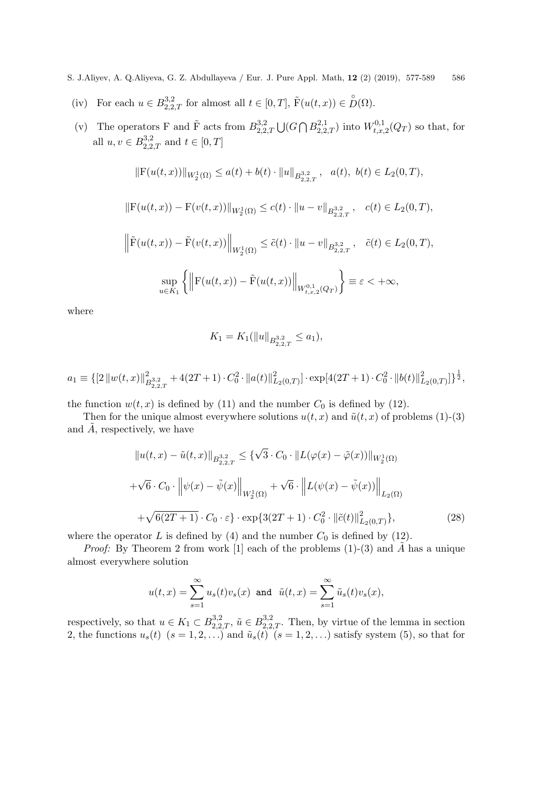- (iv) For each  $u \in B_{2,2,T}^{3,2}$  for almost all  $t \in [0,T]$ ,  $\tilde{F}(u(t,x)) \in D(\Omega)$ .
- (v) The operators F and  $\tilde{F}$  acts from  $B_{2,2}^{3,2}$  $\bigcup_{2,2,T}^{3,2} \bigcup (G \bigcap B_{2,2,T}^{2,1})$  into  $W_{t,x,x}^{0,1}$  $t_{t,x,2}^{0,1}(Q_T)$  so that, for all  $u, v \in B_{2,2,T}^{3,2}$  and  $t \in [0,T]$

$$
||F(u(t,x))||_{W_2^1(\Omega)} \le a(t) + b(t) \cdot ||u||_{B^{3,2}_{2,2,T}}, \quad a(t), \ b(t) \in L_2(0,T),
$$

$$
\|\mathbf{F}(u(t,x)) - \mathbf{F}(v(t,x))\|_{W_2^1(\Omega)} \le c(t) \cdot \|u - v\|_{B_{2,2,T}^{3,2}}, \quad c(t) \in L_2(0,T),
$$

$$
\left\| \tilde{F}(u(t,x)) - \tilde{F}(v(t,x)) \right\|_{W_2^1(\Omega)} \le \tilde{c}(t) \cdot \|u - v\|_{B^{3,2}_{2,2,T}}, \quad \tilde{c}(t) \in L_2(0,T),
$$
  

$$
\sup_{u \in K_1} \left\{ \left\| F(u(t,x)) - \tilde{F}(u(t,x)) \right\|_{W_{t,x,2}^{0,1}(Q_T)} \right\} \equiv \varepsilon < +\infty,
$$

where

$$
K_1 = K_1(||u||_{B^{3,2}_{2,2,T}} \le a_1),
$$

$$
a_1 \equiv \{ \left[ 2 \left\| w(t,x) \right\|_{B_{2,2,T}^{3,2}}^2 + 4(2T+1) \cdot C_0^2 \cdot \left\| a(t) \right\|_{L_2(0,T)}^2 \right] \cdot \exp[4(2T+1) \cdot C_0^2 \cdot \left\| b(t) \right\|_{L_2(0,T)}^2 \right] \}^{\frac{1}{2}},
$$

the function  $w(t, x)$  is defined by (11) and the number  $C_0$  is defined by (12).

Then for the unique almost everywhere solutions  $u(t, x)$  and  $\tilde{u}(t, x)$  of problems (1)-(3) and  $A$ , respectively, we have

$$
||u(t,x) - \tilde{u}(t,x)||_{B_{2,2,T}^{3,2}} \leq {\sqrt{3} \cdot C_0 \cdot ||L(\varphi(x) - \tilde{\varphi}(x))||_{W_2^1(\Omega)} \over {\sqrt{6} \cdot C_0 \cdot ||\psi(x) - \tilde{\psi}(x)||_{W_2^1(\Omega)}}} + \sqrt{6} \cdot ||L(\psi(x) - \tilde{\psi}(x))||_{L_2(\Omega)} \over {+\sqrt{6(2T+1)} \cdot C_0 \cdot \varepsilon} \cdot \exp{\{3(2T+1) \cdot C_0^2 \cdot ||\tilde{c}(t)||_{L_2(0,T)}^2\}},
$$
\n(28)

where the operator L is defined by (4) and the number  $C_0$  is defined by (12).

*Proof:* By Theorem 2 from work [1] each of the problems  $(1)-(3)$  and A has a unique almost everywhere solution

$$
u(t,x) = \sum_{s=1}^{\infty} u_s(t)v_s(x) \text{ and } \tilde{u}(t,x) = \sum_{s=1}^{\infty} \tilde{u}_s(t)v_s(x),
$$

respectively, so that  $u \in K_1 \subset B_{2,2,T}^{3,2}$ ,  $\tilde{u} \in B_{2,2,T}^{3,2}$ . Then, by virtue of the lemma in section 2, the functions  $u_s(t)$   $(s = 1, 2, ...)$  and  $\tilde{u}_s(t)$   $(s = 1, 2, ...)$  satisfy system (5), so that for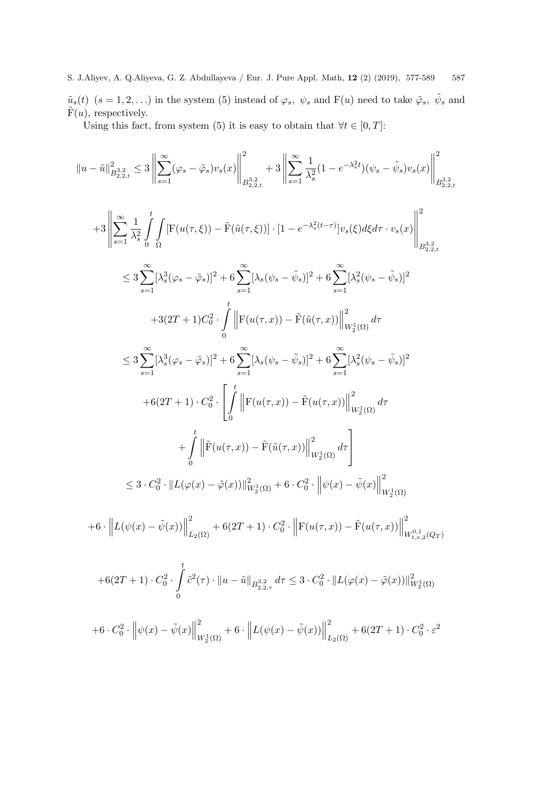S. J.Aliyev, A. Q.Aliyeva, G. Z. Abdullayeva / Eur. J. Pure Appl. Math, 12 (2) (2019), 577-589 587  $\tilde{u}_s(t)$   $(s = 1, 2, ...)$  in the system (5) instead of  $\varphi_s$ ,  $\psi_s$  and  $F(u)$  need to take  $\tilde{\varphi}_s$ ,  $\tilde{\psi}_s$  and  $\tilde{F}(u)$ , respectively.

Using this fact, from system (5) it is easy to obtain that  $\forall t \in [0, T]$ :

$$
||u - \tilde{u}||_{B_{2,2,t}^{3,2}}^{2} \leq 3 \left\| \sum_{s=1}^{\infty} (\varphi_{s} - \tilde{\varphi}_{s}) v_{s}(x) \right\|_{B_{2,2,t}^{3,2}}^{2} + 3 \left\| \sum_{s=1}^{\infty} \frac{1}{\lambda_{s}^{2}} (1 - e^{-\lambda_{s}^{2}t}) (\psi_{s} - \tilde{\psi}_{s}) v_{s}(x) \right\|_{B_{2,2,t}^{3,2}}^{2}
$$
  
+3 
$$
\left\| \sum_{s=1}^{\infty} \frac{1}{\lambda_{s}^{2}} \int_{0}^{t} \int_{\Omega} \left[ F(u(\tau,\xi)) - \tilde{F}(\tilde{u}(\tau,\xi)) \right] \cdot [1 - e^{-\lambda_{s}^{2}(t-\tau)}] v_{s}(\xi) d\xi d\tau \cdot v_{s}(x) \right\|_{B_{2,2,t}^{3,2}}^{2}
$$
  

$$
\leq 3 \sum_{s=1}^{\infty} [\lambda_{s}^{3}(\varphi_{s} - \tilde{\varphi}_{s})]^{2} + 6 \sum_{s=1}^{\infty} [\lambda_{s}(\psi_{s} - \tilde{\psi}_{s})]^{2} + 6 \sum_{s=1}^{\infty} [\lambda_{s}^{2}(\psi_{s} - \tilde{\psi}_{s})]^{2}
$$
  
+3(2T+1)C\_{0}^{2} \cdot \int\_{0}^{t} \left\| F(u(\tau,x)) - \tilde{F}(\tilde{u}(\tau,x)) \right\|\_{W\_{2}^{1}(\Omega)}^{2} d\tau  

$$
\leq 3 \sum_{s=1}^{\infty} [\lambda_{s}^{3}(\varphi_{s} - \tilde{\varphi}_{s})]^{2} + 6 \sum_{s=1}^{\infty} [\lambda_{s}(\psi_{s} - \tilde{\psi}_{s})]^{2} + 6 \sum_{s=1}^{\infty} [\lambda_{s}^{2}(\psi_{s} - \tilde{\psi}_{s})]^{2}
$$
  
+6(2T+1) \cdot C\_{0}^{2} \cdot \left[ \int\_{0}^{t} \left\| F(u(\tau,x)) - \tilde{F}(u(\tau,x)) \right\|\_{W\_{2}^{1}(\Omega)}^{2} d\tau  
+
$$
\int_{0}^{t} \left\
$$

$$
+6 \cdot \left\| L(\psi(x) - \tilde{\psi}(x)) \right\|_{L_2(\Omega)}^2 + 6(2T + 1) \cdot C_0^2 \cdot \left\| F(u(\tau, x)) - \tilde{F}(u(\tau, x)) \right\|_{W_{t, x, 2}^{0, 1}(Q_T)}^2
$$

$$
+6(2T+1)\cdot C_0^2 \cdot \int_0^t \tilde{c}^2(\tau) \cdot ||u - \tilde{u}||_{B_{2,2,\tau}^{3,2}} d\tau \leq 3 \cdot C_0^2 \cdot ||L(\varphi(x) - \tilde{\varphi}(x))||_{W_2^1(\Omega)}^2
$$
  
+6\cdot C\_0^2 \cdot  $\left\|\psi(x) - \tilde{\psi}(x)\right\|_{W_2^1(\Omega)}^2 + 6 \cdot \left\|L(\psi(x) - \tilde{\psi}(x))\right\|_{L_2(\Omega)}^2 + 6(2T+1)\cdot C_0^2 \cdot \varepsilon^2$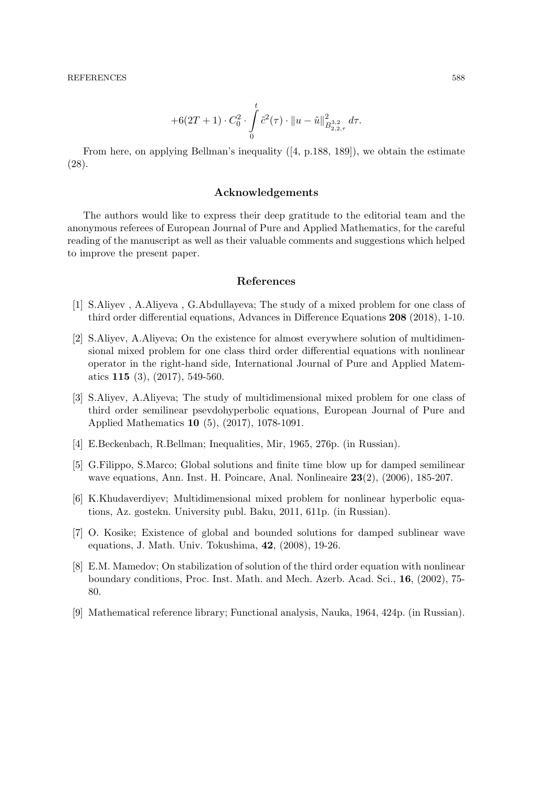$$
+6(2T+1)\cdot C_0^2\cdot \int\limits_0^t \tilde{c}^2(\tau)\cdot \|u-\tilde{u}\|^2_{B^{3,2}_{2,2,\tau}}d\tau.
$$

From here, on applying Bellman's inequality  $(4, p.188, 189)$ , we obtain the estimate (28).

#### Acknowledgements

The authors would like to express their deep gratitude to the editorial team and the anonymous referees of European Journal of Pure and Applied Mathematics, for the careful reading of the manuscript as well as their valuable comments and suggestions which helped to improve the present paper.

## References

- [1] S.Aliyev , A.Aliyeva , G.Abdullayeva; The study of a mixed problem for one class of third order differential equations, Advances in Difference Equations 208 (2018), 1-10.
- [2] S.Aliyev, A.Aliyeva; On the existence for almost everywhere solution of multidimensional mixed problem for one class third order differential equations with nonlinear operator in the right-hand side, International Journal of Pure and Applied Matematics 115 (3), (2017), 549-560.
- [3] S.Aliyev, A.Aliyeva; The study of multidimensional mixed problem for one class of third order semilinear psevdohyperbolic equations, European Journal of Pure and Applied Mathematics 10 (5), (2017), 1078-1091.
- [4] E.Beckenbach, R.Bellman; Inequalities, Mir, 1965, 276p. (in Russian).
- [5] G.Filippo, S.Marco; Global solutions and finite time blow up for damped semilinear wave equations, Ann. Inst. H. Poincare, Anal. Nonlineaire 23(2), (2006), 185-207.
- [6] K.Khudaverdiyev; Multidimensional mixed problem for nonlinear hyperbolic equations, Az. gostekn. University publ. Baku, 2011, 611p. (in Russian).
- [7] O. Kosike; Existence of global and bounded solutions for damped sublinear wave equations, J. Math. Univ. Tokushima, 42, (2008), 19-26.
- [8] E.M. Mamedov; On stabilization of solution of the third order equation with nonlinear boundary conditions, Proc. Inst. Math. and Mech. Azerb. Acad. Sci., 16, (2002), 75- 80.
- [9] Mathematical reference library; Functional analysis, Nauka, 1964, 424p. (in Russian).